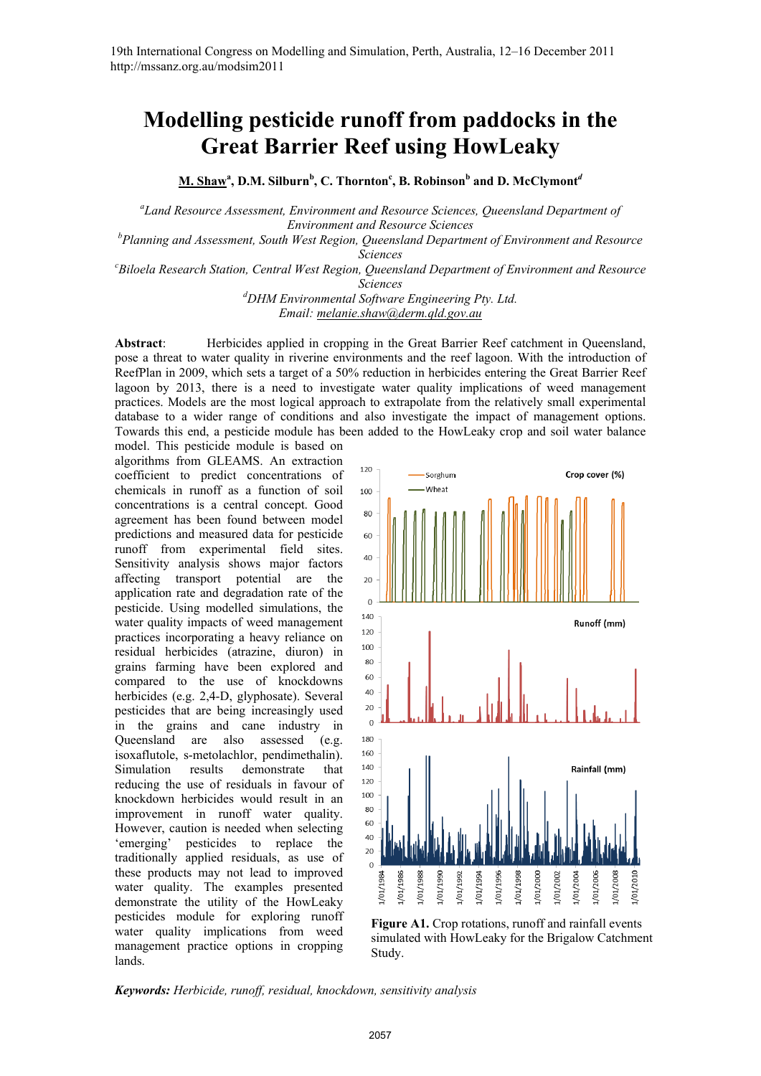# **Modelling pesticide runoff from paddocks in the Great Barrier Reef using HowLeaky**

 $\mathbf{M.~Shaw}^{\mathbf{a}}, \mathbf{D.M.~Silburn}^{\mathbf{b}}, \mathbf{C.~Thornton}^{\mathbf{c}}, \mathbf{B.~Robinson}^{\mathbf{b}}$  and  $\mathbf{D.~McClymont}^{\mathbf{a}}$ 

*a Land Resource Assessment, Environment and Resource Sciences, Queensland Department of Environment and Resource Sciences* 

*b Planning and Assessment, South West Region, Queensland Department of Environment and Resource* 

*Sciences c Biloela Research Station, Central West Region, Queensland Department of Environment and Resource* 

*Sciences* 

*d DHM Environmental Software Engineering Pty. Ltd. Email: melanie.shaw@derm.qld.gov.au*

**Abstract**: Herbicides applied in cropping in the Great Barrier Reef catchment in Queensland, pose a threat to water quality in riverine environments and the reef lagoon. With the introduction of ReefPlan in 2009, which sets a target of a 50% reduction in herbicides entering the Great Barrier Reef lagoon by 2013, there is a need to investigate water quality implications of weed management practices. Models are the most logical approach to extrapolate from the relatively small experimental database to a wider range of conditions and also investigate the impact of management options. Towards this end, a pesticide module has been added to the HowLeaky crop and soil water balance

model. This pesticide module is based on algorithms from GLEAMS. An extraction coefficient to predict concentrations of chemicals in runoff as a function of soil concentrations is a central concept. Good agreement has been found between model predictions and measured data for pesticide runoff from experimental field sites. Sensitivity analysis shows major factors affecting transport potential are the application rate and degradation rate of the pesticide. Using modelled simulations, the water quality impacts of weed management practices incorporating a heavy reliance on residual herbicides (atrazine, diuron) in grains farming have been explored and compared to the use of knockdowns herbicides (e.g. 2,4-D, glyphosate). Several pesticides that are being increasingly used in the grains and cane industry in Queensland are also assessed (e.g. isoxaflutole, s-metolachlor, pendimethalin). Simulation results demonstrate that reducing the use of residuals in favour of knockdown herbicides would result in an improvement in runoff water quality. However, caution is needed when selecting 'emerging' pesticides to replace the traditionally applied residuals, as use of these products may not lead to improved water quality. The examples presented demonstrate the utility of the HowLeaky pesticides module for exploring runoff water quality implications from weed management practice options in cropping lands.



Figure A1. Crop rotations, runoff and rainfall events simulated with HowLeaky for the Brigalow Catchment Study.

*Keywords: Herbicide, runoff, residual, knockdown, sensitivity analysis*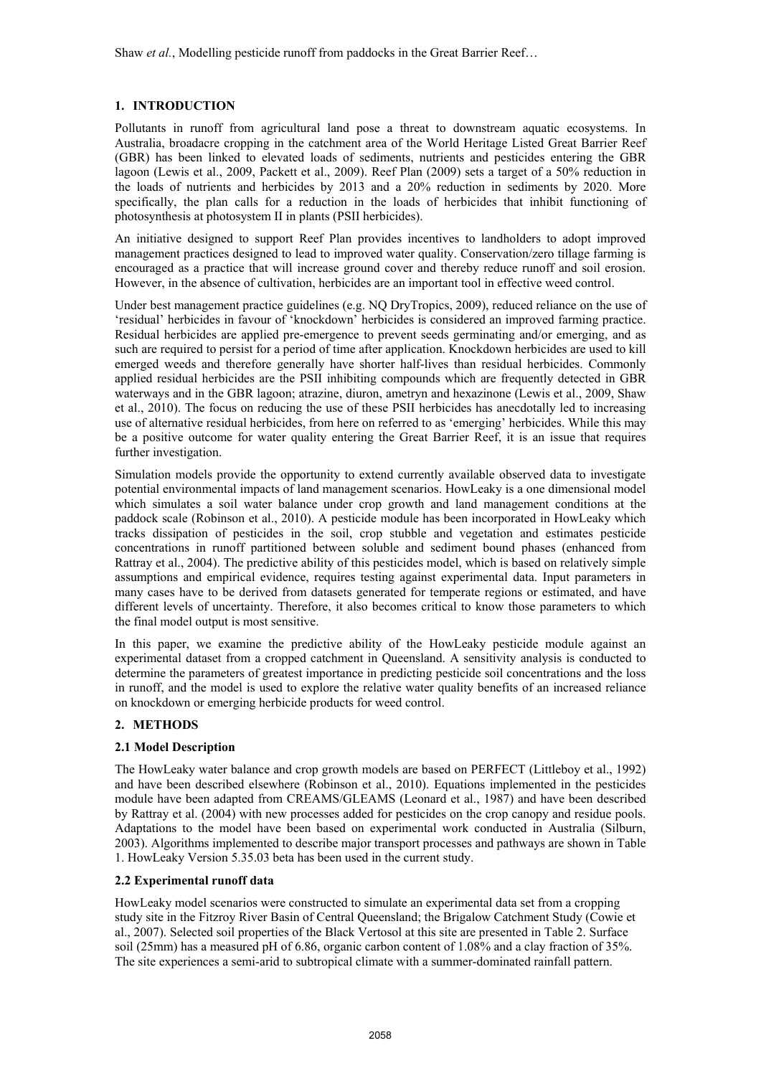## **1. INTRODUCTION**

Pollutants in runoff from agricultural land pose a threat to downstream aquatic ecosystems. In Australia, broadacre cropping in the catchment area of the World Heritage Listed Great Barrier Reef (GBR) has been linked to elevated loads of sediments, nutrients and pesticides entering the GBR lagoon (Lewis et al., 2009, Packett et al., 2009). Reef Plan (2009) sets a target of a 50% reduction in the loads of nutrients and herbicides by 2013 and a 20% reduction in sediments by 2020. More specifically, the plan calls for a reduction in the loads of herbicides that inhibit functioning of photosynthesis at photosystem II in plants (PSII herbicides).

An initiative designed to support Reef Plan provides incentives to landholders to adopt improved management practices designed to lead to improved water quality. Conservation/zero tillage farming is encouraged as a practice that will increase ground cover and thereby reduce runoff and soil erosion. However, in the absence of cultivation, herbicides are an important tool in effective weed control.

Under best management practice guidelines (e.g. NO DryTropics, 2009), reduced reliance on the use of 'residual' herbicides in favour of 'knockdown' herbicides is considered an improved farming practice. Residual herbicides are applied pre-emergence to prevent seeds germinating and/or emerging, and as such are required to persist for a period of time after application. Knockdown herbicides are used to kill emerged weeds and therefore generally have shorter half-lives than residual herbicides. Commonly applied residual herbicides are the PSII inhibiting compounds which are frequently detected in GBR waterways and in the GBR lagoon; atrazine, diuron, ametryn and hexazinone (Lewis et al., 2009, Shaw et al., 2010). The focus on reducing the use of these PSII herbicides has anecdotally led to increasing use of alternative residual herbicides, from here on referred to as 'emerging' herbicides. While this may be a positive outcome for water quality entering the Great Barrier Reef, it is an issue that requires further investigation.

Simulation models provide the opportunity to extend currently available observed data to investigate potential environmental impacts of land management scenarios. HowLeaky is a one dimensional model which simulates a soil water balance under crop growth and land management conditions at the paddock scale (Robinson et al., 2010). A pesticide module has been incorporated in HowLeaky which tracks dissipation of pesticides in the soil, crop stubble and vegetation and estimates pesticide concentrations in runoff partitioned between soluble and sediment bound phases (enhanced from Rattray et al., 2004). The predictive ability of this pesticides model, which is based on relatively simple assumptions and empirical evidence, requires testing against experimental data. Input parameters in many cases have to be derived from datasets generated for temperate regions or estimated, and have different levels of uncertainty. Therefore, it also becomes critical to know those parameters to which the final model output is most sensitive.

In this paper, we examine the predictive ability of the HowLeaky pesticide module against an experimental dataset from a cropped catchment in Queensland. A sensitivity analysis is conducted to determine the parameters of greatest importance in predicting pesticide soil concentrations and the loss in runoff, and the model is used to explore the relative water quality benefits of an increased reliance on knockdown or emerging herbicide products for weed control.

## **2. METHODS**

## **2.1 Model Description**

The HowLeaky water balance and crop growth models are based on PERFECT (Littleboy et al., 1992) and have been described elsewhere (Robinson et al., 2010). Equations implemented in the pesticides module have been adapted from CREAMS/GLEAMS (Leonard et al., 1987) and have been described by Rattray et al. (2004) with new processes added for pesticides on the crop canopy and residue pools. Adaptations to the model have been based on experimental work conducted in Australia (Silburn, 2003). Algorithms implemented to describe major transport processes and pathways are shown in Table 1. HowLeaky Version 5.35.03 beta has been used in the current study.

## **2.2 Experimental runoff data**

HowLeaky model scenarios were constructed to simulate an experimental data set from a cropping study site in the Fitzroy River Basin of Central Queensland; the Brigalow Catchment Study (Cowie et al., 2007). Selected soil properties of the Black Vertosol at this site are presented in Table 2. Surface soil (25mm) has a measured pH of 6.86, organic carbon content of 1.08% and a clay fraction of 35%. The site experiences a semi-arid to subtropical climate with a summer-dominated rainfall pattern.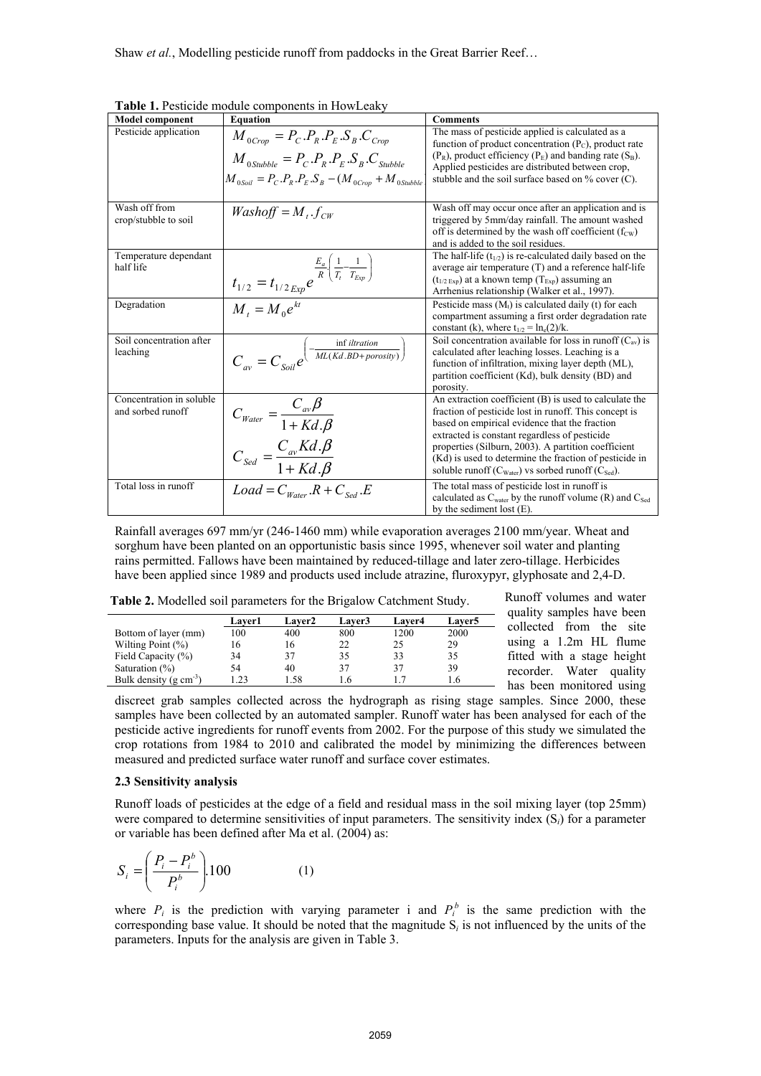| <b>Model component</b>                        | <b>Equation</b>                                                                                                                                                                                                                                                                                                                                                                                       | <b>Comments</b>                                                                                                                                                                                                                                                                           |
|-----------------------------------------------|-------------------------------------------------------------------------------------------------------------------------------------------------------------------------------------------------------------------------------------------------------------------------------------------------------------------------------------------------------------------------------------------------------|-------------------------------------------------------------------------------------------------------------------------------------------------------------------------------------------------------------------------------------------------------------------------------------------|
| Pesticide application                         | $M_{0Crop} = P_C.P_R.P_E.S_B.C_{Crop}$<br>$M_{0.5tubble} = P_C.P_R.P_E.S_B.C_{Stubble}$<br>$M_{0.50i} = P_{C} P_{R} P_{E} S_{B} - (M_{0.050} + M_{0.504} + M_{0.504} + M_{0.504} + M_{0.504} + M_{0.504} + M_{0.504} + M_{0.504} + M_{0.504} + M_{0.504} + M_{0.504} + M_{0.504} + M_{0.504} + M_{0.504} + M_{0.504} + M_{0.504} + M_{0.504} + M_{0.504} + M_{0.504} + M_{0.504} + M_{0.504} + M_{0.$ | The mass of pesticide applied is calculated as a<br>function of product concentration $(P_C)$ , product rate<br>$(P_R)$ , product efficiency $(P_F)$ and banding rate $(S_B)$ .<br>Applied pesticides are distributed between crop,<br>stubble and the soil surface based on % cover (C). |
| Wash off from<br>crop/stubble to soil         | $Washoff = M_{i}.f_{cw}$                                                                                                                                                                                                                                                                                                                                                                              | Wash off may occur once after an application and is<br>triggered by 5mm/day rainfall. The amount washed<br>off is determined by the wash off coefficient $(f_{\text{cw}})$<br>and is added to the soil residues.                                                                          |
| Temperature dependant<br>half life            | $\frac{E_a}{I_{1/2}} = t_{1/2~Exp} e^{\frac{E_a}{R} \left( \frac{1}{T_t} - \frac{1}{T_{Exp}} \right)}$<br>$M_t = M_0 e^{kt}$                                                                                                                                                                                                                                                                          | The half-life $(t_{1/2})$ is re-calculated daily based on the<br>average air temperature (T) and a reference half-life<br>$(t_{1/2 \text{ Fxn}})$ at a known temp $(T_{\text{Exn}})$ assuming an<br>Arrhenius relationship (Walker et al., 1997).                                         |
| Degradation                                   |                                                                                                                                                                                                                                                                                                                                                                                                       | Pesticide mass $(Mt)$ is calculated daily (t) for each<br>compartment assuming a first order degradation rate<br>constant (k), where $t_{1/2} = \ln_e(2)/k$ .                                                                                                                             |
| Soil concentration after<br>leaching          | $C_{av} = C_{Soi}e^{\left(-\frac{\inf{iltration}}{ML(Kd.BD + porosity)}\right)}$                                                                                                                                                                                                                                                                                                                      | Soil concentration available for loss in runoff $(C_{av})$ is<br>calculated after leaching losses. Leaching is a<br>function of infiltration, mixing layer depth (ML),<br>partition coefficient (Kd), bulk density (BD) and<br>porosity.                                                  |
| Concentration in soluble<br>and sorbed runoff | $C_{\text{Water}} = \frac{C_{\text{av}}\beta}{1 + Kd \cdot \beta}$<br>$C_{\text{Sed}} = \frac{C_{\text{av}}Kd \cdot \beta}{1 + Kd \cdot \beta}$                                                                                                                                                                                                                                                       | An extraction coefficient (B) is used to calculate the<br>fraction of pesticide lost in runoff. This concept is<br>based on empirical evidence that the fraction<br>extracted is constant regardless of pesticide                                                                         |
|                                               |                                                                                                                                                                                                                                                                                                                                                                                                       | properties (Silburn, 2003). A partition coefficient<br>(Kd) is used to determine the fraction of pesticide in<br>soluble runoff $(C_{\text{Water}})$ vs sorbed runoff $(C_{\text{Sed}})$ .                                                                                                |
| Total loss in runoff                          | $Load = C_{Water}$ . $R + C_{Sed}$ . $E$                                                                                                                                                                                                                                                                                                                                                              | The total mass of pesticide lost in runoff is<br>calculated as $C_{water}$ by the runoff volume (R) and $C_{Sed}$<br>by the sediment lost $(E)$ .                                                                                                                                         |

**Table 1.** Pesticide module components in HowLeaky

Rainfall averages 697 mm/yr (246-1460 mm) while evaporation averages 2100 mm/year. Wheat and sorghum have been planted on an opportunistic basis since 1995, whenever soil water and planting rains permitted. Fallows have been maintained by reduced-tillage and later zero-tillage. Herbicides have been applied since 1989 and products used include atrazine, fluroxypyr, glyphosate and 2,4-D.

|                                      | Laver1 | <b>Laver2</b> | <b>Laver3</b> | <b>Laver4</b> | Laver5 |
|--------------------------------------|--------|---------------|---------------|---------------|--------|
| Bottom of layer (mm)                 | 100    | 400           | 800           | 1200          | 2000   |
| Wilting Point $(\% )$                | 16     | 16            | 22            | 25            | 29     |
| Field Capacity (%)                   | 34     | 37            | 35            | 33            | 35     |
| Saturation $(\%)$                    | 54     | 40            | 37            | 37            | 39     |
| Bulk density ( $g \text{ cm}^{-3}$ ) |        | 58            |               |               |        |

**Table 2.** Modelled soil parameters for the Brigalow Catchment Study.

Runoff volumes and water quality samples have been collected from the site using a 1.2m HL flume fitted with a stage height recorder. Water quality has been monitored using

discreet grab samples collected across the hydrograph as rising stage samples. Since 2000, these samples have been collected by an automated sampler. Runoff water has been analysed for each of the pesticide active ingredients for runoff events from 2002. For the purpose of this study we simulated the crop rotations from 1984 to 2010 and calibrated the model by minimizing the differences between measured and predicted surface water runoff and surface cover estimates.

### **2.3 Sensitivity analysis**

Bulk density  $(g \text{ cm}^{-3})$ 

Runoff loads of pesticides at the edge of a field and residual mass in the soil mixing layer (top 25mm) were compared to determine sensitivities of input parameters. The sensitivity index (S*i*) for a parameter or variable has been defined after Ma et al. (2004) as:

$$
S_i = \left(\frac{P_i - P_i^b}{P_i^b}\right) 100\tag{1}
$$

where  $P_i$  is the prediction with varying parameter i and  $P_i^b$  is the same prediction with the corresponding base value. It should be noted that the magnitude  $S_i$  is not influenced by the units of the parameters. Inputs for the analysis are given in Table 3.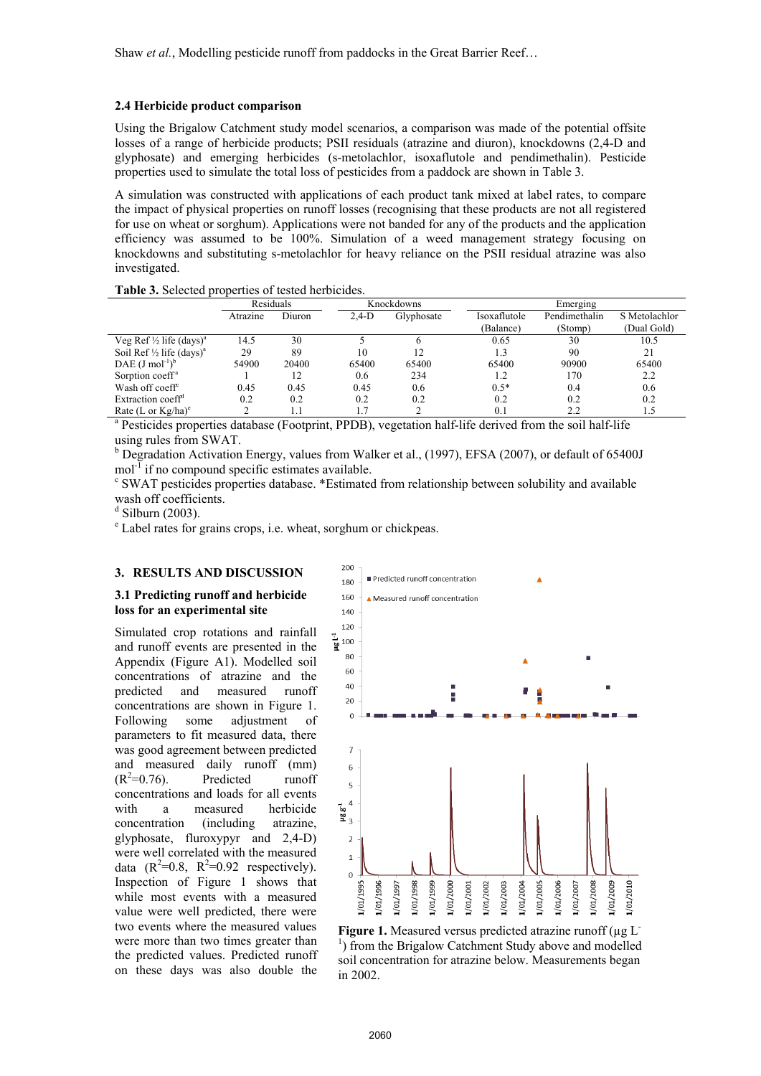#### **2.4 Herbicide product comparison**

Using the Brigalow Catchment study model scenarios, a comparison was made of the potential offsite losses of a range of herbicide products; PSII residuals (atrazine and diuron), knockdowns (2,4-D and glyphosate) and emerging herbicides (s-metolachlor, isoxaflutole and pendimethalin). Pesticide properties used to simulate the total loss of pesticides from a paddock are shown in Table 3.

A simulation was constructed with applications of each product tank mixed at label rates, to compare the impact of physical properties on runoff losses (recognising that these products are not all registered for use on wheat or sorghum). Applications were not banded for any of the products and the application efficiency was assumed to be 100%. Simulation of a weed management strategy focusing on knockdowns and substituting s-metolachlor for heavy reliance on the PSII residual atrazine was also investigated.

#### **Table 3.** Selected properties of tested herbicides.

|                                                                                                                     | Residuals |        |         | Knockdowns |              | Emerging      |               |  |  |
|---------------------------------------------------------------------------------------------------------------------|-----------|--------|---------|------------|--------------|---------------|---------------|--|--|
|                                                                                                                     | Atrazine  | Diuron | $2.4-D$ | Glyphosate | Isoxaflutole | Pendimethalin | S Metolachlor |  |  |
|                                                                                                                     |           |        |         |            | (Balance)    | (Stomp)       | (Dual Gold)   |  |  |
| Veg Ref $\frac{1}{2}$ life (days) <sup>a</sup>                                                                      | 14.5      | 30     |         |            | 0.65         | 30            | 10.5          |  |  |
| Soil Ref $\frac{1}{2}$ life (days) <sup>a</sup>                                                                     | 29        | 89     | 10      | 12         | 1.3          | 90            | 21            |  |  |
| DAE $(J \text{ mol}^{-1})^b$                                                                                        | 54900     | 20400  | 65400   | 65400      | 65400        | 90900         | 65400         |  |  |
| Sorption coeff <sup>a</sup>                                                                                         |           | 12     | 0.6     | 234        | 1.2          | 170           | 2.2           |  |  |
| Wash off coeff <sup>c</sup>                                                                                         | 0.45      | 0.45   | 0.45    | 0.6        | $0.5*$       | 0.4           | 0.6           |  |  |
| Extraction coeff <sup>d</sup>                                                                                       | 0.2       | 0.2    | 0.2     | 0.2        | 0.2          | 0.2           | 0.2           |  |  |
| Rate (L or $\text{Kg/ha}$ ) <sup>e</sup>                                                                            |           | 1.1    | 1.7     |            | 0.1          | 2.2           | 1.5           |  |  |
| <sup>a</sup> Pesticides properties database (Footprint, PPDB), vegetation half-life derived from the soil half-life |           |        |         |            |              |               |               |  |  |

using rules from SWAT.

<sup>b</sup> Degradation Activation Energy, values from Walker et al., (1997), EFSA (2007), or default of 65400J  $mol<sup>-1</sup>$  if no compound specific estimates available.

 SWAT pesticides properties database. \*Estimated from relationship between solubility and available wash off coefficients.

 $d$  Silburn (2003).

e Label rates for grains crops, i.e. wheat, sorghum or chickpeas.

## **3. RESULTS AND DISCUSSION**

#### **3.1 Predicting runoff and herbicide loss for an experimental site**

Simulated crop rotations and rainfall and runoff events are presented in the Appendix (Figure A1). Modelled soil concentrations of atrazine and the predicted and measured runoff concentrations are shown in Figure 1. Following some adjustment of parameters to fit measured data, there was good agreement between predicted and measured daily runoff (mm)  $(R^2=0.76)$ . Predicted runoff concentrations and loads for all events with a measured herbicide concentration (including atrazine, glyphosate, fluroxypyr and 2,4-D) were well correlated with the measured data  $(R^2=0.8, R^2=0.92$  respectively). Inspection of Figure 1 shows that while most events with a measured value were well predicted, there were two events where the measured values were more than two times greater than the predicted values. Predicted runoff on these days was also double the



**Figure 1.** Measured versus predicted atrazine runoff ( $\mu$ g L<sup>-</sup> <sup>1</sup>) from the Brigalow Catchment Study above and modelled soil concentration for atrazine below. Measurements began in 2002.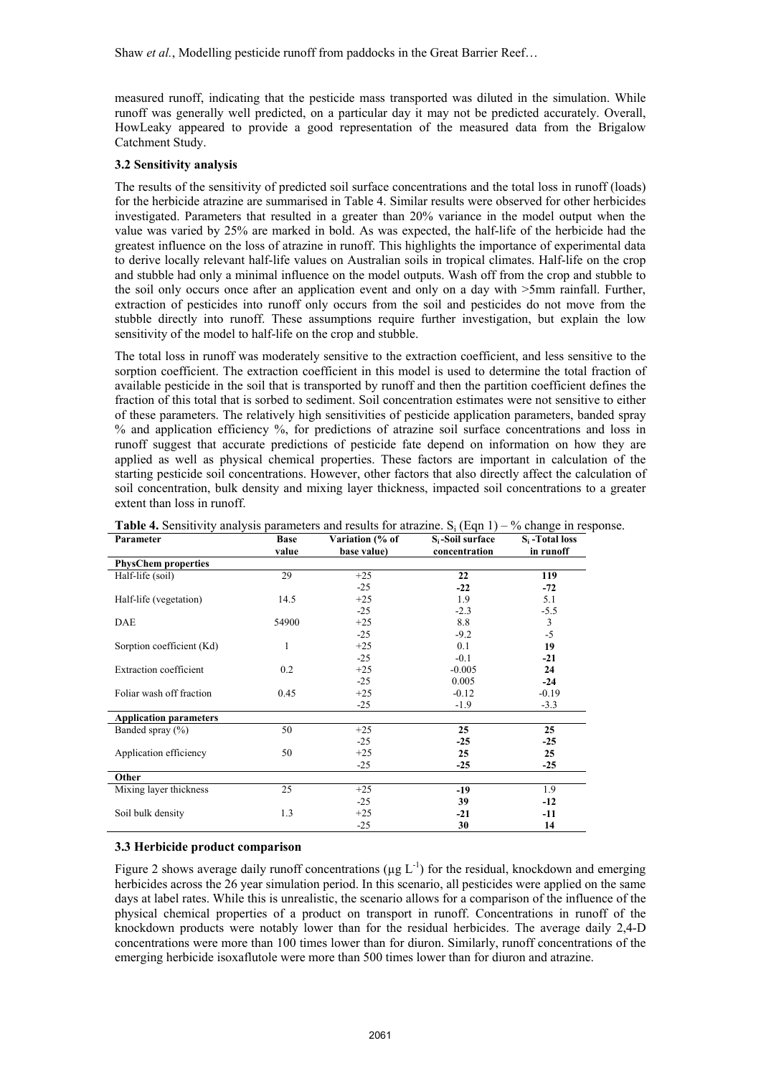measured runoff, indicating that the pesticide mass transported was diluted in the simulation. While runoff was generally well predicted, on a particular day it may not be predicted accurately. Overall, HowLeaky appeared to provide a good representation of the measured data from the Brigalow Catchment Study.

## **3.2 Sensitivity analysis**

The results of the sensitivity of predicted soil surface concentrations and the total loss in runoff (loads) for the herbicide atrazine are summarised in Table 4. Similar results were observed for other herbicides investigated. Parameters that resulted in a greater than 20% variance in the model output when the value was varied by 25% are marked in bold. As was expected, the half-life of the herbicide had the greatest influence on the loss of atrazine in runoff. This highlights the importance of experimental data to derive locally relevant half-life values on Australian soils in tropical climates. Half-life on the crop and stubble had only a minimal influence on the model outputs. Wash off from the crop and stubble to the soil only occurs once after an application event and only on a day with >5mm rainfall. Further, extraction of pesticides into runoff only occurs from the soil and pesticides do not move from the stubble directly into runoff. These assumptions require further investigation, but explain the low sensitivity of the model to half-life on the crop and stubble.

The total loss in runoff was moderately sensitive to the extraction coefficient, and less sensitive to the sorption coefficient. The extraction coefficient in this model is used to determine the total fraction of available pesticide in the soil that is transported by runoff and then the partition coefficient defines the fraction of this total that is sorbed to sediment. Soil concentration estimates were not sensitive to either of these parameters. The relatively high sensitivities of pesticide application parameters, banded spray % and application efficiency %, for predictions of atrazine soil surface concentrations and loss in runoff suggest that accurate predictions of pesticide fate depend on information on how they are applied as well as physical chemical properties. These factors are important in calculation of the starting pesticide soil concentrations. However, other factors that also directly affect the calculation of soil concentration, bulk density and mixing layer thickness, impacted soil concentrations to a greater extent than loss in runoff.

| Parameter                     | <b>Base</b> | Variation (% of | $S_i$ -Soil surface | $S_i$ -Total loss |
|-------------------------------|-------------|-----------------|---------------------|-------------------|
|                               | value       | base value)     | concentration       | in runoff         |
| <b>PhysChem properties</b>    |             |                 |                     |                   |
| Half-life (soil)              | 29          | $+25$           | 22                  | 119               |
|                               |             | $-25$           | $-22$               | $-72$             |
| Half-life (vegetation)        | 14.5        | $+25$           | 1.9                 | 5.1               |
|                               |             | $-25$           | $-2.3$              | $-5.5$            |
| <b>DAE</b>                    | 54900       | $+25$           | 8.8                 | 3                 |
|                               |             | $-25$           | $-9.2$              | $-5$              |
| Sorption coefficient (Kd)     | 1           | $+25$           | 0.1                 | 19                |
|                               |             | $-25$           | $-0.1$              | $-21$             |
| <b>Extraction</b> coefficient | 0.2         | $+25$           | $-0.005$            | 24                |
|                               |             | $-25$           | 0.005               | $-24$             |
| Foliar wash off fraction      | 0.45        | $+25$           | $-0.12$             | $-0.19$           |
|                               |             | $-25$           | $-1.9$              | $-3.3$            |
| <b>Application parameters</b> |             |                 |                     |                   |
| Banded spray $(\% )$          | 50          | $+25$           | 25                  | 25                |
|                               |             | $-25$           | $-25$               | $-25$             |
| Application efficiency        | 50          | $+25$           | 25                  | 25                |
|                               |             | $-25$           | $-25$               | $-25$             |
| Other                         |             |                 |                     |                   |
| Mixing layer thickness        | 25          | $+25$           | $-19$               | 1.9               |
|                               |             | $-25$           | 39                  | -12               |
| Soil bulk density             | 1.3         | $+25$           | $-21$               | -11               |
|                               |             | $-25$           | 30                  | 14                |

| <b>Table 4.</b> Sensitivity analysis parameters and results for atrazine. $S_i$ (Eqn 1) – % change in response. |  |  |  |  |  |  |
|-----------------------------------------------------------------------------------------------------------------|--|--|--|--|--|--|
|-----------------------------------------------------------------------------------------------------------------|--|--|--|--|--|--|

#### **3.3 Herbicide product comparison**

Figure 2 shows average daily runoff concentrations ( $\mu$ g L<sup>-1</sup>) for the residual, knockdown and emerging herbicides across the 26 year simulation period. In this scenario, all pesticides were applied on the same days at label rates. While this is unrealistic, the scenario allows for a comparison of the influence of the physical chemical properties of a product on transport in runoff. Concentrations in runoff of the knockdown products were notably lower than for the residual herbicides. The average daily 2,4-D concentrations were more than 100 times lower than for diuron. Similarly, runoff concentrations of the emerging herbicide isoxaflutole were more than 500 times lower than for diuron and atrazine.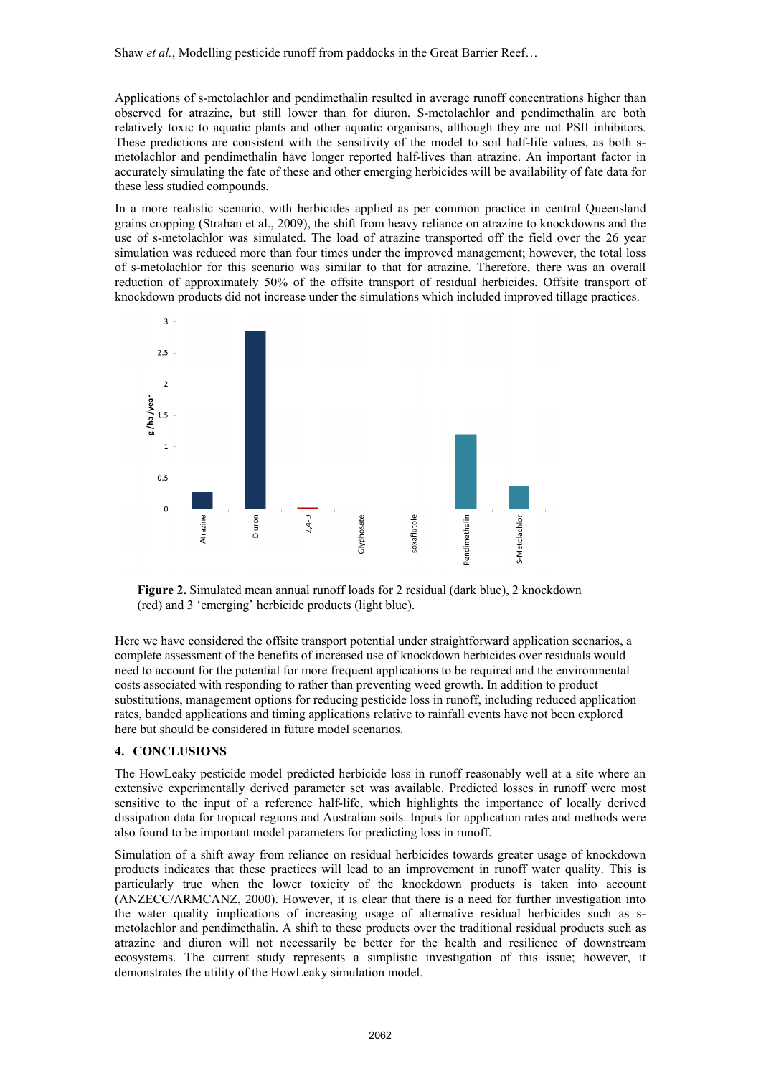Applications of s-metolachlor and pendimethalin resulted in average runoff concentrations higher than observed for atrazine, but still lower than for diuron. S-metolachlor and pendimethalin are both relatively toxic to aquatic plants and other aquatic organisms, although they are not PSII inhibitors. These predictions are consistent with the sensitivity of the model to soil half-life values, as both smetolachlor and pendimethalin have longer reported half-lives than atrazine. An important factor in accurately simulating the fate of these and other emerging herbicides will be availability of fate data for these less studied compounds.

In a more realistic scenario, with herbicides applied as per common practice in central Queensland grains cropping (Strahan et al., 2009), the shift from heavy reliance on atrazine to knockdowns and the use of s-metolachlor was simulated. The load of atrazine transported off the field over the 26 year simulation was reduced more than four times under the improved management; however, the total loss of s-metolachlor for this scenario was similar to that for atrazine. Therefore, there was an overall reduction of approximately 50% of the offsite transport of residual herbicides. Offsite transport of knockdown products did not increase under the simulations which included improved tillage practices.



**Figure 2.** Simulated mean annual runoff loads for 2 residual (dark blue), 2 knockdown (red) and 3 'emerging' herbicide products (light blue).

Here we have considered the offsite transport potential under straightforward application scenarios, a complete assessment of the benefits of increased use of knockdown herbicides over residuals would need to account for the potential for more frequent applications to be required and the environmental costs associated with responding to rather than preventing weed growth. In addition to product substitutions, management options for reducing pesticide loss in runoff, including reduced application rates, banded applications and timing applications relative to rainfall events have not been explored here but should be considered in future model scenarios.

## **4. CONCLUSIONS**

The HowLeaky pesticide model predicted herbicide loss in runoff reasonably well at a site where an extensive experimentally derived parameter set was available. Predicted losses in runoff were most sensitive to the input of a reference half-life, which highlights the importance of locally derived dissipation data for tropical regions and Australian soils. Inputs for application rates and methods were also found to be important model parameters for predicting loss in runoff.

Simulation of a shift away from reliance on residual herbicides towards greater usage of knockdown products indicates that these practices will lead to an improvement in runoff water quality. This is particularly true when the lower toxicity of the knockdown products is taken into account (ANZECC/ARMCANZ, 2000). However, it is clear that there is a need for further investigation into the water quality implications of increasing usage of alternative residual herbicides such as smetolachlor and pendimethalin. A shift to these products over the traditional residual products such as atrazine and diuron will not necessarily be better for the health and resilience of downstream ecosystems. The current study represents a simplistic investigation of this issue; however, it demonstrates the utility of the HowLeaky simulation model.